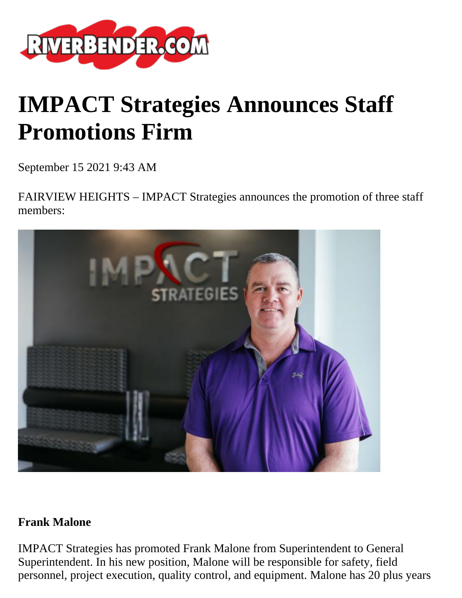

# **IMPACT Strategies Announces Staff Promotions Firm**

September 15 2021 9:43 AM

FAIRVIEW HEIGHTS – IMPACT Strategies announces the promotion of three staff members:



#### **Frank Malone**

IMPACT Strategies has promoted Frank Malone from Superintendent to General Superintendent. In his new position, Malone will be responsible for safety, field personnel, project execution, quality control, and equipment. Malone has 20 plus years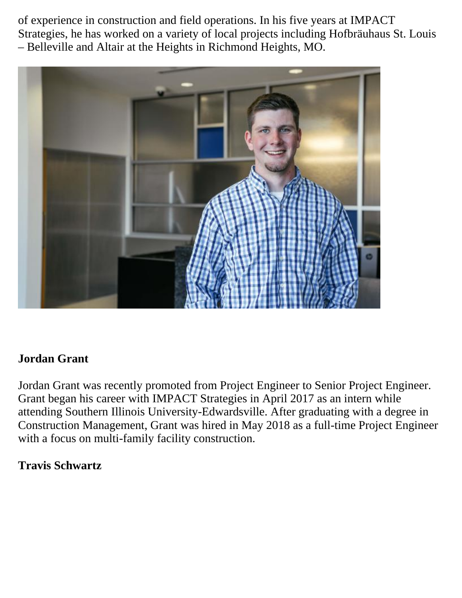of experience in construction and field operations. In his five years at IMPACT Strategies, he has worked on a variety of local projects including Hofbräuhaus St. Louis – Belleville and Altair at the Heights in Richmond Heights, MO.



# **Jordan Grant**

Jordan Grant was recently promoted from Project Engineer to Senior Project Engineer. Grant began his career with IMPACT Strategies in April 2017 as an intern while attending Southern Illinois University-Edwardsville. After graduating with a degree in Construction Management, Grant was hired in May 2018 as a full-time Project Engineer with a focus on multi-family facility construction.

## **Travis Schwartz**